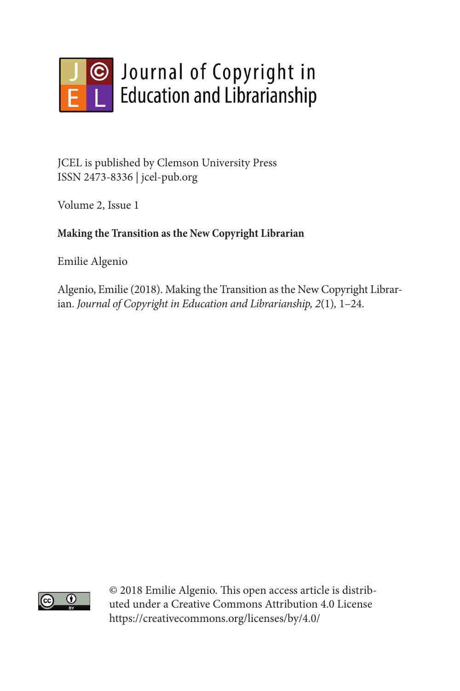

JCEL is published by Clemson University Press ISSN 2473-8336 | jcel-pub.org

Volume 2, Issue 1

### **Making the Transition as the New Copyright Librarian**

Emilie Algenio

Algenio, Emilie (2018). Making the Transition as the New Copyright Librarian. *Journal of Copyright in Education and Librarianship, 2*(1)*,* 1–24.



© 2018 Emilie Algenio. This open access article is distributed under a Creative Commons Attribution 4.0 License https://creativecommons.org/licenses/by/4.0/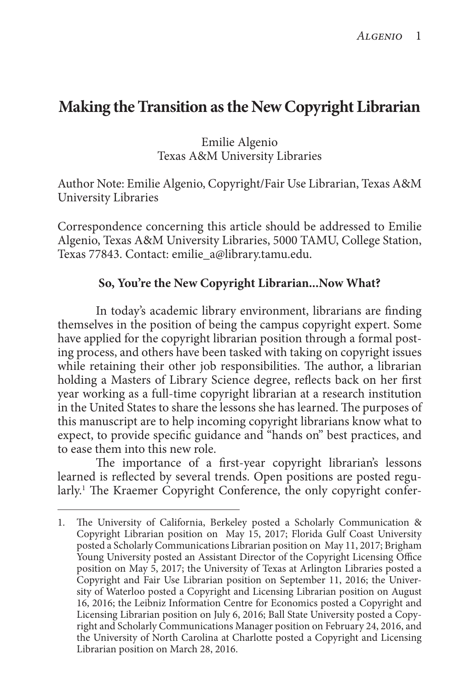# **Making the Transition as the New Copyright Librarian**

Emilie Algenio Texas A&M University Libraries

Author Note: Emilie Algenio, Copyright/Fair Use Librarian, Texas A&M University Libraries

Correspondence concerning this article should be addressed to Emilie Algenio, Texas A&M University Libraries, 5000 TAMU, College Station, Texas 77843. Contact: emilie\_a@library.tamu.edu.

#### **So, You're the New Copyright Librarian...Now What?**

In today's academic library environment, librarians are finding themselves in the position of being the campus copyright expert. Some have applied for the copyright librarian position through a formal posting process, and others have been tasked with taking on copyright issues while retaining their other job responsibilities. The author, a librarian holding a Masters of Library Science degree, reflects back on her first year working as a full-time copyright librarian at a research institution in the United States to share the lessons she has learned. The purposes of this manuscript are to help incoming copyright librarians know what to expect, to provide specific guidance and "hands on" best practices, and to ease them into this new role.

The importance of a first-year copyright librarian's lessons learned is reflected by several trends. Open positions are posted regularly.<sup>1</sup> The Kraemer Copyright Conference, the only copyright confer-

<sup>1.</sup> The University of California, Berkeley posted a Scholarly Communication & Copyright Librarian position on May 15, 2017; Florida Gulf Coast University posted a Scholarly Communications Librarian position on May 11, 2017; Brigham Young University posted an Assistant Director of the Copyright Licensing Office position on May 5, 2017; the University of Texas at Arlington Libraries posted a Copyright and Fair Use Librarian position on September 11, 2016; the University of Waterloo posted a Copyright and Licensing Librarian position on August 16, 2016; the Leibniz Information Centre for Economics posted a Copyright and Licensing Librarian position on July 6, 2016; Ball State University posted a Copyright and Scholarly Communications Manager position on February 24, 2016, and the University of North Carolina at Charlotte posted a Copyright and Licensing Librarian position on March 28, 2016.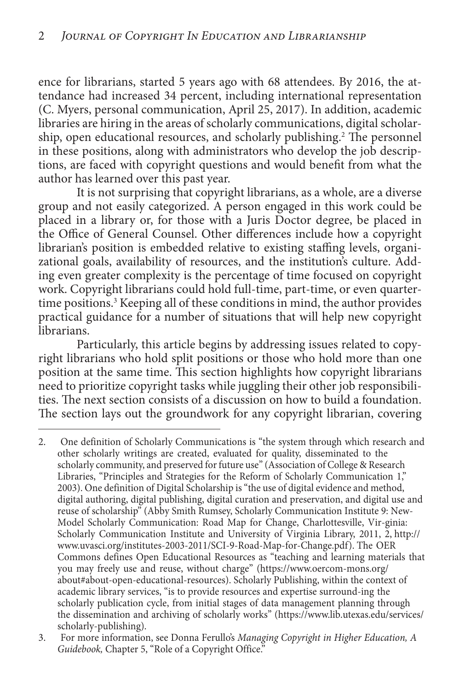ence for librarians, started 5 years ago with 68 attendees. By 2016, the attendance had increased 34 percent, including international representation (C. Myers, personal communication, April 25, 2017). In addition, academic libraries are hiring in the areas of scholarly communications, digital scholarship, open educational resources, and scholarly publishing.<sup>2</sup> The personnel in these positions, along with administrators who develop the job descriptions, are faced with copyright questions and would benefit from what the author has learned over this past year.

It is not surprising that copyright librarians, as a whole, are a diverse group and not easily categorized. A person engaged in this work could be placed in a library or, for those with a Juris Doctor degree, be placed in the Office of General Counsel. Other differences include how a copyright librarian's position is embedded relative to existing staffing levels, organizational goals, availability of resources, and the institution's culture. Adding even greater complexity is the percentage of time focused on copyright work. Copyright librarians could hold full-time, part-time, or even quartertime positions.<sup>3</sup> Keeping all of these conditions in mind, the author provides practical guidance for a number of situations that will help new copyright librarians.

Particularly, this article begins by addressing issues related to copyright librarians who hold split positions or those who hold more than one position at the same time. This section highlights how copyright librarians need to prioritize copyright tasks while juggling their other job responsibilities. The next section consists of a discussion on how to build a foundation. The section lays out the groundwork for any copyright librarian, covering

2. One definition of Scholarly Communications is "the system through which research and other scholarly writings are created, evaluated for quality, disseminated to the scholarly community, and preserved for future use" (Association of College & Research Libraries, "Principles and Strategies for the Reform of Scholarly Communication 1," 2003). One definition of Digital Scholarship is "the use of digital evidence and method, digital authoring, digital publishing, digital curation and preservation, and digital use and reuse of scholarship" (Abby Smith Rumsey, Scholarly Communication Institute 9: New-Model Scholarly Communication: Road Map for Change, Charlottesville, Vir-ginia: Scholarly Communication Institute and University of Virginia Library, 2011, 2, http:// www.uvasci.org/institutes-2003-2011/SCI-9-Road-Map-for-Change.pdf). The OER Commons defines Open Educational Resources as "teaching and learning materials that you may freely use and reuse, without charge" (https://www.oercom-mons.org/ about#about-open-educational-resources). Scholarly Publishing, within the context of academic library services, "is to provide resources and expertise surround-ing the scholarly publication cycle, from initial stages of data management planning through the dissemination and archiving of scholarly works" (https://www.lib.utexas.edu/services/ scholarly-publishing).

<sup>3.</sup> For more information, see Donna Ferullo's *Managing Copyright in Higher Education, A* Guidebook, Chapter 5, "Role of a Copyright Office."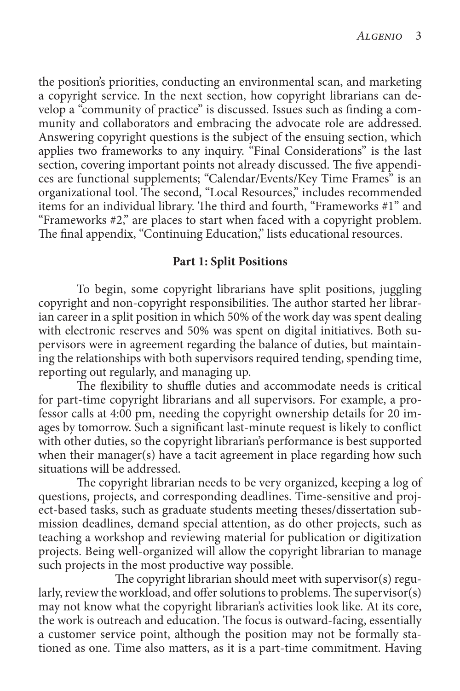the position's priorities, conducting an environmental scan, and marketing a copyright service. In the next section, how copyright librarians can develop a "community of practice" is discussed. Issues such as finding a community and collaborators and embracing the advocate role are addressed. Answering copyright questions is the subject of the ensuing section, which applies two frameworks to any inquiry. "Final Considerations" is the last section, covering important points not already discussed. The five appendices are functional supplements; "Calendar/Events/Key Time Frames" is an organizational tool. The second, "Local Resources," includes recommended items for an individual library. The third and fourth, "Frameworks #1" and "Frameworks #2," are places to start when faced with a copyright problem. The final appendix, "Continuing Education," lists educational resources.

#### **Part 1: Split Positions**

To begin, some copyright librarians have split positions, juggling copyright and non-copyright responsibilities. The author started her librarian career in a split position in which 50% of the work day was spent dealing with electronic reserves and 50% was spent on digital initiatives. Both supervisors were in agreement regarding the balance of duties, but maintaining the relationships with both supervisors required tending, spending time, reporting out regularly, and managing up.

The flexibility to shuffle duties and accommodate needs is critical for part-time copyright librarians and all supervisors. For example, a professor calls at 4:00 pm, needing the copyright ownership details for 20 images by tomorrow. Such a significant last-minute request is likely to conflict with other duties, so the copyright librarian's performance is best supported when their manager(s) have a tacit agreement in place regarding how such situations will be addressed.

The copyright librarian needs to be very organized, keeping a log of questions, projects, and corresponding deadlines. Time-sensitive and project-based tasks, such as graduate students meeting theses/dissertation submission deadlines, demand special attention, as do other projects, such as teaching a workshop and reviewing material for publication or digitization projects. Being well-organized will allow the copyright librarian to manage such projects in the most productive way possible.

The copyright librarian should meet with supervisor(s) regularly, review the workload, and offer solutions to problems. The supervisor(s) may not know what the copyright librarian's activities look like. At its core, the work is outreach and education. The focus is outward-facing, essentially a customer service point, although the position may not be formally stationed as one. Time also matters, as it is a part-time commitment. Having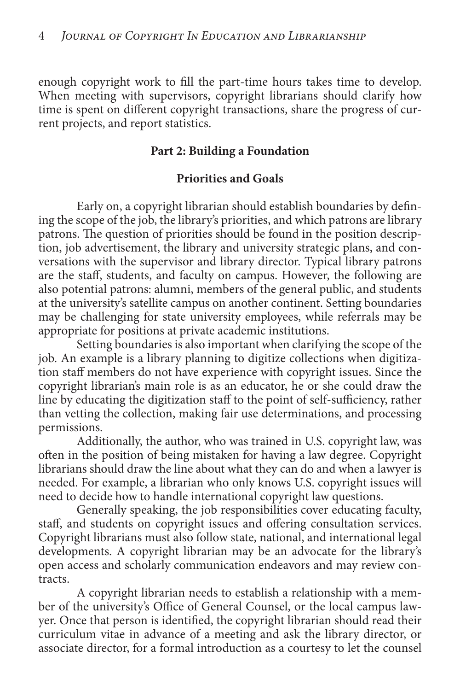enough copyright work to fill the part-time hours takes time to develop. When meeting with supervisors, copyright librarians should clarify how time is spent on different copyright transactions, share the progress of current projects, and report statistics.

### **Part 2: Building a Foundation**

## **Priorities and Goals**

Early on, a copyright librarian should establish boundaries by defining the scope of the job, the library's priorities, and which patrons are library patrons. The question of priorities should be found in the position description, job advertisement, the library and university strategic plans, and conversations with the supervisor and library director. Typical library patrons are the staff, students, and faculty on campus. However, the following are also potential patrons: alumni, members of the general public, and students at the university's satellite campus on another continent. Setting boundaries may be challenging for state university employees, while referrals may be appropriate for positions at private academic institutions.

Setting boundaries is also important when clarifying the scope of the job. An example is a library planning to digitize collections when digitization staff members do not have experience with copyright issues. Since the copyright librarian's main role is as an educator, he or she could draw the line by educating the digitization staff to the point of self-sufficiency, rather than vetting the collection, making fair use determinations, and processing permissions.

Additionally, the author, who was trained in U.S. copyright law, was often in the position of being mistaken for having a law degree. Copyright librarians should draw the line about what they can do and when a lawyer is needed. For example, a librarian who only knows U.S. copyright issues will need to decide how to handle international copyright law questions.

Generally speaking, the job responsibilities cover educating faculty, staff, and students on copyright issues and offering consultation services. Copyright librarians must also follow state, national, and international legal developments. A copyright librarian may be an advocate for the library's open access and scholarly communication endeavors and may review contracts.

A copyright librarian needs to establish a relationship with a member of the university's Office of General Counsel, or the local campus lawyer. Once that person is identified, the copyright librarian should read their curriculum vitae in advance of a meeting and ask the library director, or associate director, for a formal introduction as a courtesy to let the counsel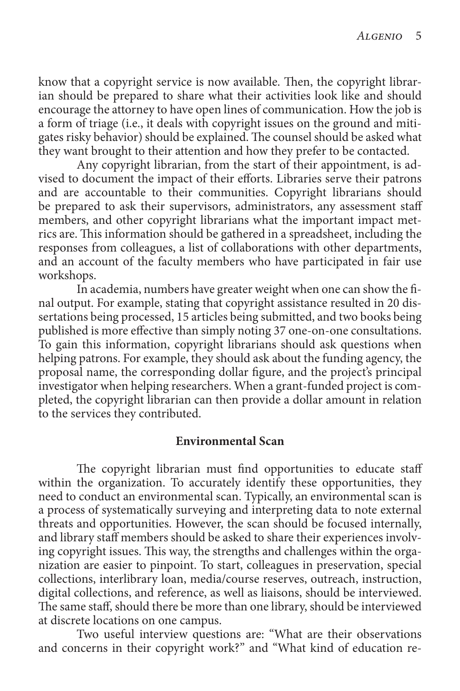know that a copyright service is now available. Then, the copyright librarian should be prepared to share what their activities look like and should encourage the attorney to have open lines of communication. How the job is a form of triage (i.e., it deals with copyright issues on the ground and mitigates risky behavior) should be explained. The counsel should be asked what they want brought to their attention and how they prefer to be contacted.

Any copyright librarian, from the start of their appointment, is advised to document the impact of their efforts. Libraries serve their patrons and are accountable to their communities. Copyright librarians should be prepared to ask their supervisors, administrators, any assessment staff members, and other copyright librarians what the important impact metrics are. This information should be gathered in a spreadsheet, including the responses from colleagues, a list of collaborations with other departments, and an account of the faculty members who have participated in fair use workshops.

In academia, numbers have greater weight when one can show the final output. For example, stating that copyright assistance resulted in 20 dissertations being processed, 15 articles being submitted, and two books being published is more effective than simply noting 37 one-on-one consultations. To gain this information, copyright librarians should ask questions when helping patrons. For example, they should ask about the funding agency, the proposal name, the corresponding dollar figure, and the project's principal investigator when helping researchers. When a grant-funded project is completed, the copyright librarian can then provide a dollar amount in relation to the services they contributed.

#### **Environmental Scan**

The copyright librarian must find opportunities to educate staff within the organization. To accurately identify these opportunities, they need to conduct an environmental scan. Typically, an environmental scan is a process of systematically surveying and interpreting data to note external threats and opportunities. However, the scan should be focused internally, and library staff members should be asked to share their experiences involving copyright issues. This way, the strengths and challenges within the organization are easier to pinpoint. To start, colleagues in preservation, special collections, interlibrary loan, media/course reserves, outreach, instruction, digital collections, and reference, as well as liaisons, should be interviewed. The same staff, should there be more than one library, should be interviewed at discrete locations on one campus.

Two useful interview questions are: "What are their observations and concerns in their copyright work?" and "What kind of education re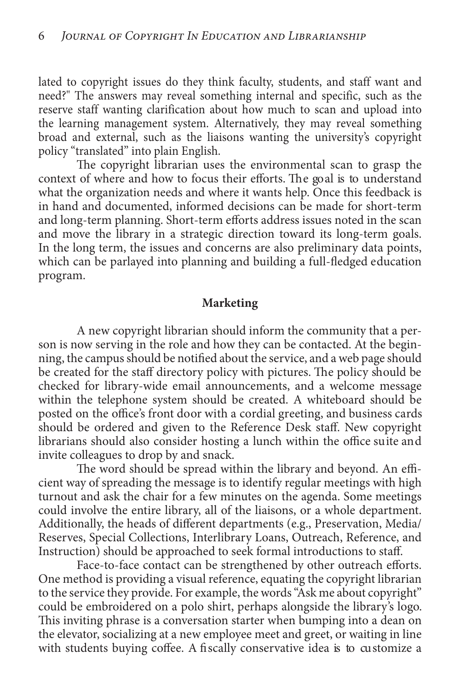lated to copyright issues do they think faculty, students, and staff want and need?" The answers may reveal something internal and specific, such as the reserve staff wanting clarification about how much to scan and upload into the learning management system. Alternatively, they may reveal something broad and external, such as the liaisons wanting the university's copyright policy "translated" into plain English.

The copyright librarian uses the environmental scan to grasp the context of where and how to focus their efforts. The goal is to understand what the organization needs and where it wants help. Once this feedback is in hand and documented, informed decisions can be made for short-term and long-term planning. Short-term efforts address issues noted in the scan and move the library in a strategic direction toward its long-term goals. In the long term, the issues and concerns are also preliminary data points, which can be parlayed into planning and building a full-fledged education program.

#### **Marketing**

A new copyright librarian should inform the community that a person is now serving in the role and how they can be contacted. At the beginning, the campus should be notified about the service, and a web page should be created for the staff directory policy with pictures. The policy should be checked for library-wide email announcements, and a welcome message within the telephone system should be created. A whiteboard should be posted on the office's front door with a cordial greeting, and business cards should be ordered and given to the Reference Desk staff. New copyright librarians should also consider hosting a lunch within the office suite and invite colleagues to drop by and snack.

The word should be spread within the library and beyond. An efficient way of spreading the message is to identify regular meetings with high turnout and ask the chair for a few minutes on the agenda. Some meetings could involve the entire library, all of the liaisons, or a whole department. Additionally, the heads of different departments (e.g., Preservation, Media/ Reserves, Special Collections, Interlibrary Loans, Outreach, Reference, and Instruction) should be approached to seek formal introductions to staff.

Face-to-face contact can be strengthened by other outreach efforts. One method is providing a visual reference, equating the copyright librarian to the service they provide. For example, the words "Ask me about copyright" could be embroidered on a polo shirt, perhaps alongside the library's logo. This inviting phrase is a conversation starter when bumping into a dean on the elevator, socializing at a new employee meet and greet, or waiting in line with students buying coffee. A fiscally conservative idea is to customize a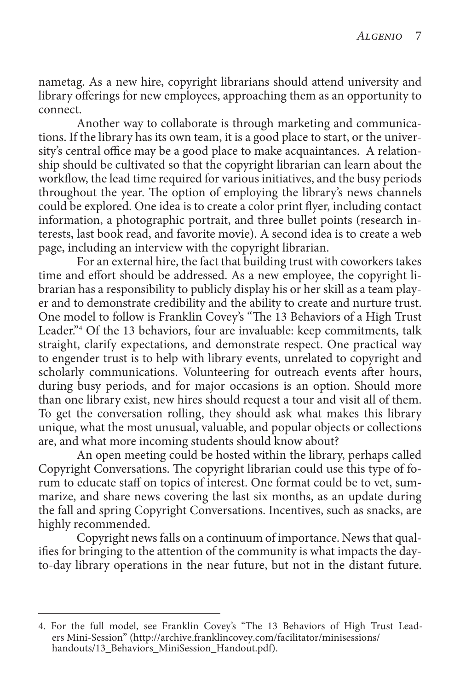nametag. As a new hire, copyright librarians should attend university and library offerings for new employees, approaching them as an opportunity to connect.

Another way to collaborate is through marketing and communications. If the library has its own team, it is a good place to start, or the university's central office may be a good place to make acquaintances. A relationship should be cultivated so that the copyright librarian can learn about the workflow, the lead time required for various initiatives, and the busy periods throughout the year. The option of employing the library's news channels could be explored. One idea is to create a color print flyer, including contact information, a photographic portrait, and three bullet points (research interests, last book read, and favorite movie). A second idea is to create a web page, including an interview with the copyright librarian.

For an external hire, the fact that building trust with coworkers takes time and effort should be addressed. As a new employee, the copyright librarian has a responsibility to publicly display his or her skill as a team player and to demonstrate credibility and the ability to create and nurture trust. One model to follow is Franklin Covey's "The 13 Behaviors of a High Trust Leader."4 Of the 13 behaviors, four are invaluable: keep commitments, talk straight, clarify expectations, and demonstrate respect. One practical way to engender trust is to help with library events, unrelated to copyright and scholarly communications. Volunteering for outreach events after hours, during busy periods, and for major occasions is an option. Should more than one library exist, new hires should request a tour and visit all of them. To get the conversation rolling, they should ask what makes this library unique, what the most unusual, valuable, and popular objects or collections are, and what more incoming students should know about?

An open meeting could be hosted within the library, perhaps called Copyright Conversations. The copyright librarian could use this type of forum to educate staff on topics of interest. One format could be to vet, summarize, and share news covering the last six months, as an update during the fall and spring Copyright Conversations. Incentives, such as snacks, are highly recommended.

Copyright news falls on a continuum of importance. News that qualifies for bringing to the attention of the community is what impacts the dayto-day library operations in the near future, but not in the distant future.

<sup>4.</sup> For the full model, see Franklin Covey's "The 13 Behaviors of High Trust Leaders Mini-Session" (http://archive.franklincovey.com/facilitator/minisessions/ handouts/13\_Behaviors\_MiniSession\_Handout.pdf).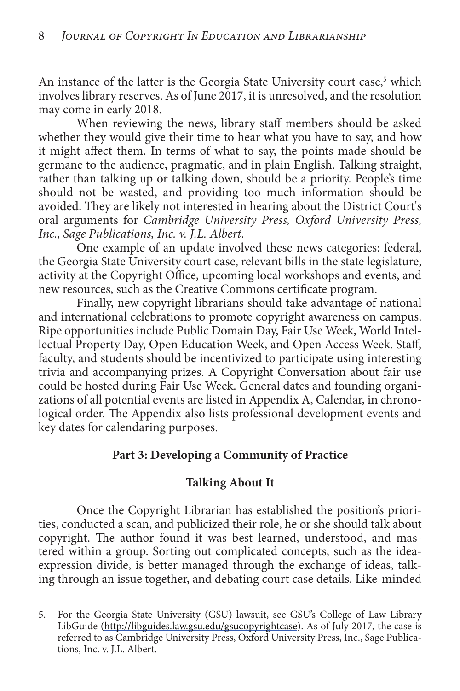An instance of the latter is the Georgia State University court case,<sup>5</sup> which involves library reserves. As of June 2017, it is unresolved, and the resolution may come in early 2018.

When reviewing the news, library staff members should be asked whether they would give their time to hear what you have to say, and how it might affect them. In terms of what to say, the points made should be germane to the audience, pragmatic, and in plain English. Talking straight, rather than talking up or talking down, should be a priority. People's time should not be wasted, and providing too much information should be avoided. They are likely not interested in hearing about the District Court's oral arguments for *Cambridge University Press, Oxford University Press, Inc., Sage Publications, Inc. v. J.L. Albert*.

One example of an update involved these news categories: federal, the Georgia State University court case, relevant bills in the state legislature, activity at the Copyright Office, upcoming local workshops and events, and new resources, such as the Creative Commons certificate program.

Finally, new copyright librarians should take advantage of national and international celebrations to promote copyright awareness on campus. Ripe opportunities include Public Domain Day, Fair Use Week, World Intellectual Property Day, Open Education Week, and Open Access Week. Staff, faculty, and students should be incentivized to participate using interesting trivia and accompanying prizes. A Copyright Conversation about fair use could be hosted during Fair Use Week. General dates and founding organizations of all potential events are listed in Appendix A, Calendar, in chronological order. The Appendix also lists professional development events and key dates for calendaring purposes.

### **Part 3: Developing a Community of Practice**

### **Talking About It**

Once the Copyright Librarian has established the position's priorities, conducted a scan, and publicized their role, he or she should talk about copyright. The author found it was best learned, understood, and mastered within a group. Sorting out complicated concepts, such as the ideaexpression divide, is better managed through the exchange of ideas, talking through an issue together, and debating court case details. Like-minded

<sup>5.</sup> For the Georgia State University (GSU) lawsuit, see GSU's College of Law Library LibGuide (http://libguides.law.gsu.edu/gsucopyrightcase). As of July 2017, the case is referred to as Cambridge University Press, Oxford University Press, Inc., Sage Publications, Inc. v. J.L. Albert.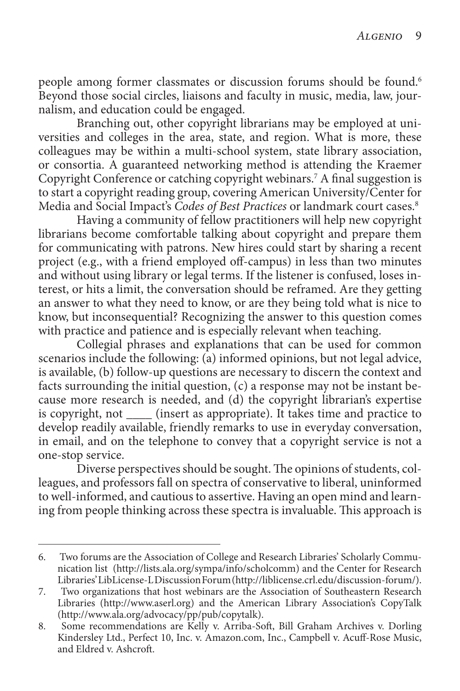people among former classmates or discussion forums should be found.<sup>6</sup> Beyond those social circles, liaisons and faculty in music, media, law, journalism, and education could be engaged.

Branching out, other copyright librarians may be employed at universities and colleges in the area, state, and region. What is more, these colleagues may be within a multi-school system, state library association, or consortia. A guaranteed networking method is attending the Kraemer Copyright Conference or catching copyright webinars.7 A final suggestion is to start a copyright reading group, covering American University/Center for Media and Social Impact's *Codes of Best Practices* or landmark court cases.8

Having a community of fellow practitioners will help new copyright librarians become comfortable talking about copyright and prepare them for communicating with patrons. New hires could start by sharing a recent project (e.g., with a friend employed off-campus) in less than two minutes and without using library or legal terms. If the listener is confused, loses interest, or hits a limit, the conversation should be reframed. Are they getting an answer to what they need to know, or are they being told what is nice to know, but inconsequential? Recognizing the answer to this question comes with practice and patience and is especially relevant when teaching.

Collegial phrases and explanations that can be used for common scenarios include the following: (a) informed opinions, but not legal advice, is available, (b) follow-up questions are necessary to discern the context and facts surrounding the initial question, (c) a response may not be instant because more research is needed, and (d) the copyright librarian's expertise is copyright, not \_\_\_\_ (insert as appropriate). It takes time and practice to develop readily available, friendly remarks to use in everyday conversation, in email, and on the telephone to convey that a copyright service is not a one-stop service.

Diverse perspectives should be sought. The opinions of students, colleagues, and professors fall on spectra of conservative to liberal, uninformed to well-informed, and cautious to assertive. Having an open mind and learning from people thinking across these spectra is invaluable. This approach is

<sup>6.</sup> Two forums are the Association of College and Research Libraries' Scholarly Communication list (http://lists.ala.org/sympa/info/scholcomm) and the Center for Research Libraries' LibLicense-L Discussion Forum (http://liblicense.crl.edu/discussion-forum/).

<sup>7.</sup> Two organizations that host webinars are the Association of Southeastern Research Libraries (http://www.aserl.org) and the American Library Association's CopyTalk (http://www.ala.org/advocacy/pp/pub/copytalk).

<sup>8.</sup> Some recommendations are Kelly v. Arriba-Soft, Bill Graham Archives v. Dorling Kindersley Ltd., Perfect 10, Inc. v. Amazon.com, Inc., Campbell v. Acuff-Rose Music, and Eldred v. Ashcroft.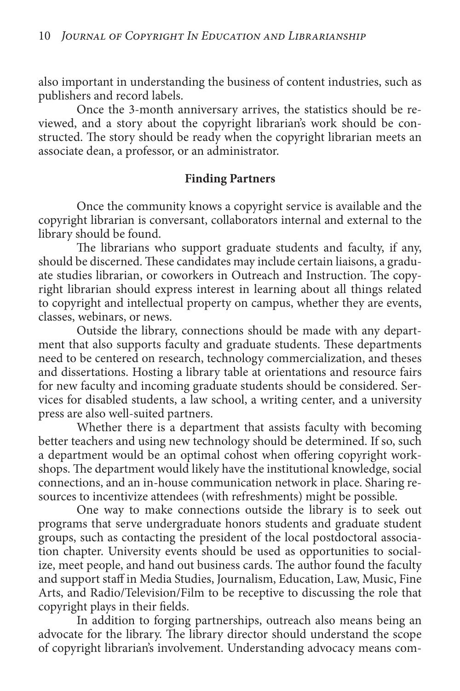also important in understanding the business of content industries, such as publishers and record labels.

Once the 3-month anniversary arrives, the statistics should be reviewed, and a story about the copyright librarian's work should be constructed. The story should be ready when the copyright librarian meets an associate dean, a professor, or an administrator.

#### **Finding Partners**

Once the community knows a copyright service is available and the copyright librarian is conversant, collaborators internal and external to the library should be found.

The librarians who support graduate students and faculty, if any, should be discerned. These candidates may include certain liaisons, a graduate studies librarian, or coworkers in Outreach and Instruction. The copyright librarian should express interest in learning about all things related to copyright and intellectual property on campus, whether they are events, classes, webinars, or news.

Outside the library, connections should be made with any department that also supports faculty and graduate students. These departments need to be centered on research, technology commercialization, and theses and dissertations. Hosting a library table at orientations and resource fairs for new faculty and incoming graduate students should be considered. Services for disabled students, a law school, a writing center, and a university press are also well-suited partners.

Whether there is a department that assists faculty with becoming better teachers and using new technology should be determined. If so, such a department would be an optimal cohost when offering copyright workshops. The department would likely have the institutional knowledge, social connections, and an in-house communication network in place. Sharing resources to incentivize attendees (with refreshments) might be possible.

One way to make connections outside the library is to seek out programs that serve undergraduate honors students and graduate student groups, such as contacting the president of the local postdoctoral association chapter. University events should be used as opportunities to socialize, meet people, and hand out business cards. The author found the faculty and support staff in Media Studies, Journalism, Education, Law, Music, Fine Arts, and Radio/Television/Film to be receptive to discussing the role that copyright plays in their fields.

In addition to forging partnerships, outreach also means being an advocate for the library. The library director should understand the scope of copyright librarian's involvement. Understanding advocacy means com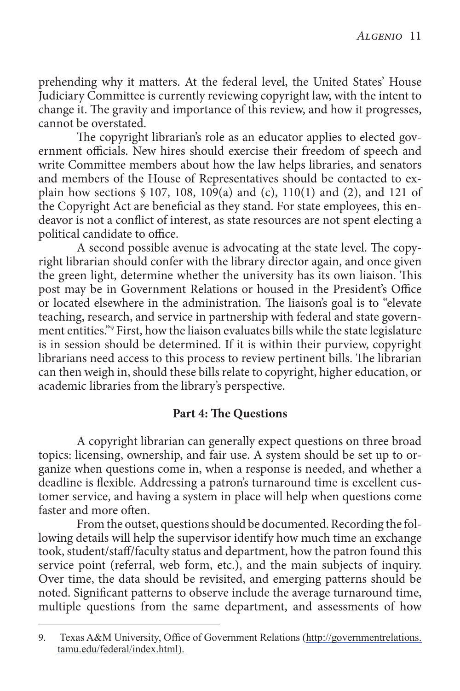prehending why it matters. At the federal level, the United States' House Judiciary Committee is currently reviewing copyright law, with the intent to change it. The gravity and importance of this review, and how it progresses, cannot be overstated.

The copyright librarian's role as an educator applies to elected government officials. New hires should exercise their freedom of speech and write Committee members about how the law helps libraries, and senators and members of the House of Representatives should be contacted to explain how sections  $$107, 108, 109(a)$  and (c), 110(1) and (2), and 121 of the Copyright Act are beneficial as they stand. For state employees, this endeavor is not a conflict of interest, as state resources are not spent electing a political candidate to office.

A second possible avenue is advocating at the state level. The copyright librarian should confer with the library director again, and once given the green light, determine whether the university has its own liaison. This post may be in Government Relations or housed in the President's Office or located elsewhere in the administration. The liaison's goal is to "elevate teaching, research, and service in partnership with federal and state government entities."9 First, how the liaison evaluates bills while the state legislature is in session should be determined. If it is within their purview, copyright librarians need access to this process to review pertinent bills. The librarian can then weigh in, should these bills relate to copyright, higher education, or academic libraries from the library's perspective.

#### **Part 4: The Questions**

A copyright librarian can generally expect questions on three broad topics: licensing, ownership, and fair use. A system should be set up to organize when questions come in, when a response is needed, and whether a deadline is flexible. Addressing a patron's turnaround time is excellent customer service, and having a system in place will help when questions come faster and more often.

From the outset, questions should be documented. Recording the following details will help the supervisor identify how much time an exchange took, student/staff/faculty status and department, how the patron found this service point (referral, web form, etc.), and the main subjects of inquiry. Over time, the data should be revisited, and emerging patterns should be noted. Significant patterns to observe include the average turnaround time, multiple questions from the same department, and assessments of how

<sup>9.</sup> Texas A&M University, Office of Government Relations (http://governmentrelations. tamu.edu/federal/index.html).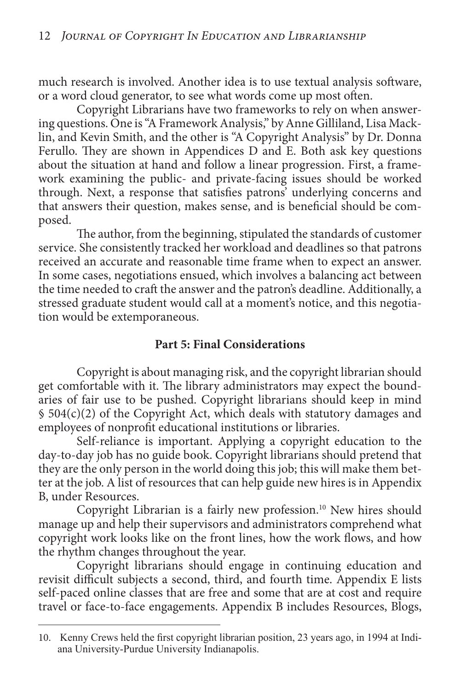much research is involved. Another idea is to use textual analysis software, or a word cloud generator, to see what words come up most often.

Copyright Librarians have two frameworks to rely on when answering questions. One is "A Framework Analysis," by Anne Gilliland, Lisa Macklin, and Kevin Smith, and the other is "A Copyright Analysis" by Dr. Donna Ferullo. They are shown in Appendices D and E. Both ask key questions about the situation at hand and follow a linear progression. First, a framework examining the public- and private-facing issues should be worked through. Next, a response that satisfies patrons' underlying concerns and that answers their question, makes sense, and is beneficial should be composed.

The author, from the beginning, stipulated the standards of customer service. She consistently tracked her workload and deadlines so that patrons received an accurate and reasonable time frame when to expect an answer. In some cases, negotiations ensued, which involves a balancing act between the time needed to craft the answer and the patron's deadline. Additionally, a stressed graduate student would call at a moment's notice, and this negotiation would be extemporaneous.

## **Part 5: Final Considerations**

Copyright is about managing risk, and the copyright librarian should get comfortable with it. The library administrators may expect the boundaries of fair use to be pushed. Copyright librarians should keep in mind § 504(c)(2) of the Copyright Act, which deals with statutory damages and employees of nonprofit educational institutions or libraries.

Self-reliance is important. Applying a copyright education to the day-to-day job has no guide book. Copyright librarians should pretend that they are the only person in the world doing this job; this will make them better at the job. A list of resources that can help guide new hires is in Appendix B, under Resources.

Copyright Librarian is a fairly new profession.10 New hires should manage up and help their supervisors and administrators comprehend what copyright work looks like on the front lines, how the work flows, and how the rhythm changes throughout the year.

Copyright librarians should engage in continuing education and revisit difficult subjects a second, third, and fourth time. Appendix E lists self-paced online classes that are free and some that are at cost and require travel or face-to-face engagements. Appendix B includes Resources, Blogs,

<sup>10.</sup> Kenny Crews held the first copyright librarian position, 23 years ago, in 1994 at Indiana University-Purdue University Indianapolis.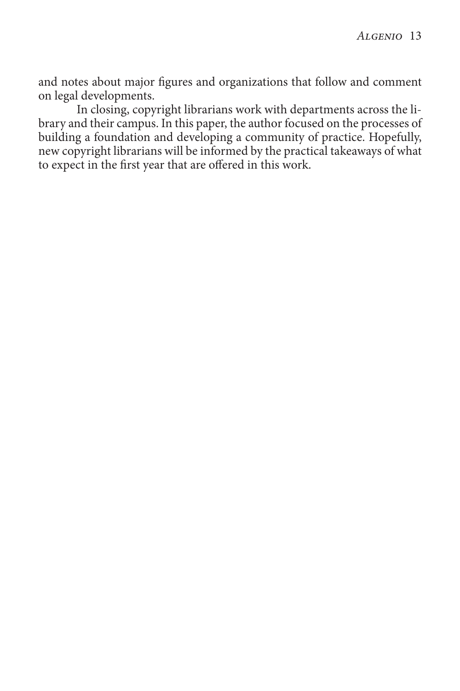and notes about major figures and organizations that follow and comment on legal developments.

In closing, copyright librarians work with departments across the library and their campus. In this paper, the author focused on the processes of building a foundation and developing a community of practice. Hopefully, new copyright librarians will be informed by the practical takeaways of what to expect in the first year that are offered in this work.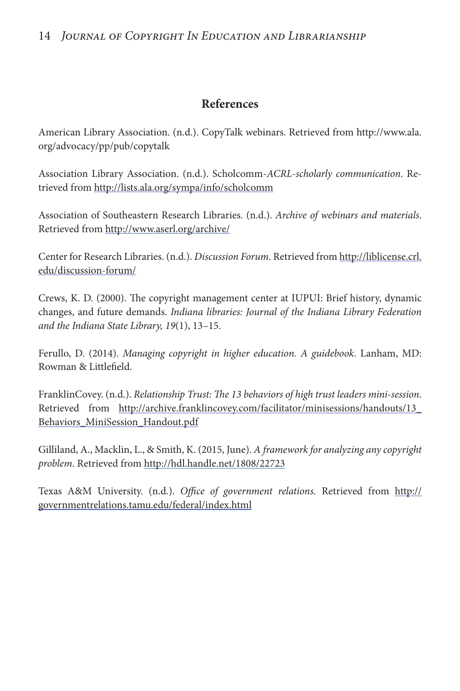#### 14 *Journal of Copyright In Education and Librarianship*

#### **References**

American Library Association. (n.d.). CopyTalk webinars. Retrieved from [http://www.ala.](http://www.ala.org/advocacy/pp/pub/copytalk) [org/advocacy/pp/pub/copytalk](http://www.ala.org/advocacy/pp/pub/copytalk)

Association Library Association. (n.d.). Scholcomm-*ACRL-scholarly communication*. Retrieved from http://lists.ala.org/sympa/info/scholcomm

Association of Southeastern Research Libraries. (n.d.). *Archive of webinars and materials*. Retrieved from http://www.aserl.org/archive/

Center for Research Libraries. (n.d.). *Discussion Forum*. Retrieved from [http://liblicense.crl.](http://liblicense.crl.edu/discussion-forum/) [edu/discussion-forum/](http://liblicense.crl.edu/discussion-forum/)

Crews, K. D. (2000). The copyright management center at IUPUI: Brief history, dynamic changes, and future demands. *Indiana libraries: Journal of the Indiana Library Federation and the Indiana State Library, 19*(1), 13–15.

Ferullo, D. (2014). *Managing copyright in higher education. A guidebook*. Lanham, MD: Rowman & Littlefield.

FranklinCovey. (n.d.). *Relationship Trust: The 13 behaviors of high trust leaders mini-session*. Retrieved from [http://archive.franklincovey.com/facilitator/minisessions/handouts/13\\_](http://archive.franklincovey.com/facilitator/minisessions/handouts/13_ Behaviors_MiniSession_Handout.pdf) [Behaviors\\_MiniSession\\_Handout.pdf](http://archive.franklincovey.com/facilitator/minisessions/handouts/13_ Behaviors_MiniSession_Handout.pdf)

Gilliland, A., Macklin, L., & Smith, K. (2015, June). *A framework for analyzing any copyright problem*. Retrieved from http://hdl.handle.net/1808/22723

Texas A&M University. (n.d.). *Office of government relations.* Retrieved from http:// governmentrelations.tamu.edu/federal/index.html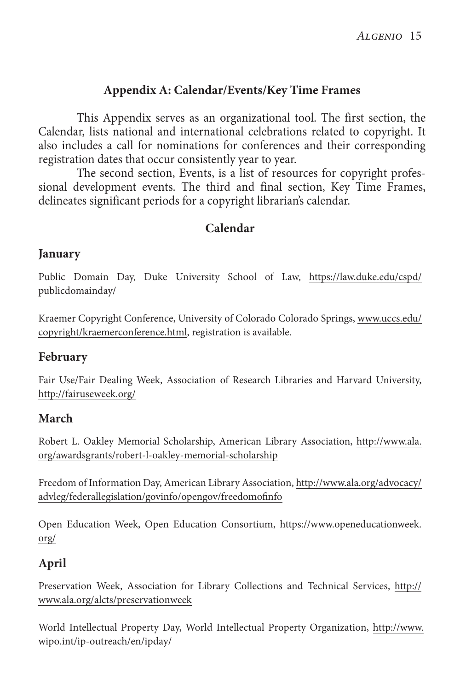## **Appendix A: Calendar/Events/Key Time Frames**

This Appendix serves as an organizational tool. The first section, the Calendar, lists national and international celebrations related to copyright. It also includes a call for nominations for conferences and their corresponding registration dates that occur consistently year to year.

The second section, Events, is a list of resources for copyright professional development events. The third and final section, Key Time Frames, delineates significant periods for a copyright librarian's calendar.

## **Calendar**

### **January**

Public Domain Day, Duke University School of Law, [https://law.duke.edu/cspd/](https://law.duke.edu/cspd/publicdomainday/) [publicdomainday/](https://law.duke.edu/cspd/publicdomainday/)

Kraemer Copyright Conference, University of Colorado Colorado Springs, [www.uccs.edu/](https://www.uccs.edu/copyright/kraemerconference.html) [copyright/kraemerconference.html,](https://www.uccs.edu/copyright/kraemerconference.html) registration is available.

### **February**

Fair Use/Fair Dealing Week, Association of Research Libraries and Harvard University, http://fairuseweek.org/

### **March**

Robert L. Oakley Memorial Scholarship, American Library Association, [http://www.ala.](http://www.ala.org/awardsgrants/robert-l-oakley-memorial-scholarship) [org/awardsgrants/robert-l-oakley-memorial-scholarship](http://www.ala.org/awardsgrants/robert-l-oakley-memorial-scholarship)

Freedom of Information Day, American Library Association, [http://www.ala.org/advocacy/](http://www.ala.org/advocacy/advleg/federallegislation/govinfo/opengov/freedomofinfo) [advleg/federallegislation/govinfo/opengov/freedomofinfo](http://www.ala.org/advocacy/advleg/federallegislation/govinfo/opengov/freedomofinfo)

Open Education Week, Open Education Consortium, https://www.openeducationweek. org/

## **April**

Preservation Week, Association for Library Collections and Technical Services, http:// www.ala.org/alcts/preservationweek

World Intellectual Property Day, World Intellectual Property Organization, [http://www.](http://www. wipo.int/ip-outreach/en/ipday/) [wipo.int/ip-outreach/en/ipday/](http://www. wipo.int/ip-outreach/en/ipday/)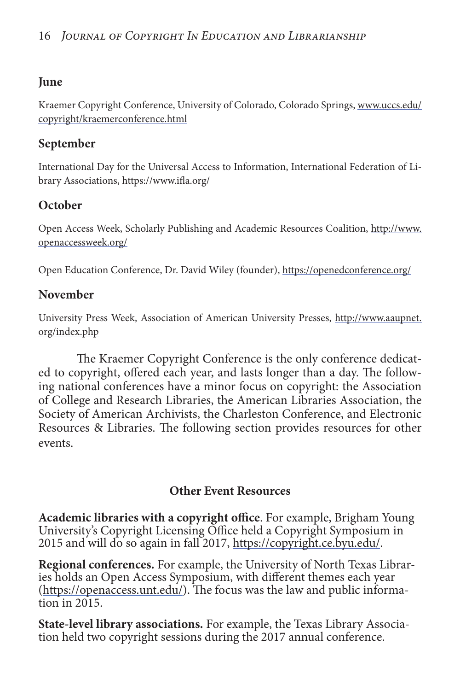## **June**

Kraemer Copyright Conference, University of Colorado, Colorado Springs, [www.uccs.edu/](www.uccs.edu/copyright/kraemerconference.html) [copyright/kraemerconference.html](www.uccs.edu/copyright/kraemerconference.html)

## **September**

International Day for the Universal Access to Information, International Federation of Library Associations, https://www.ifla.org/

## **October**

Open Access Week, Scholarly Publishing and Academic Resources Coalition, [http://www.](http://www. openaccessweek.org/) [openaccessweek.org/](http://www. openaccessweek.org/)

Open Education Conference, Dr. David Wiley (founder), https://openedconference.org/

## **November**

University Press Week, Association of American University Presses, [http://www.aaupnet.](http://www.aaupnet. org/index.php) [org/index.php](http://www.aaupnet. org/index.php)

The Kraemer Copyright Conference is the only conference dedicated to copyright, offered each year, and lasts longer than a day. The following national conferences have a minor focus on copyright: the Association of College and Research Libraries, the American Libraries Association, the Society of American Archivists, the Charleston Conference, and Electronic Resources & Libraries. The following section provides resources for other events.

## **Other Event Resources**

**Academic libraries with a copyright office**. For example, Brigham Young University's Copyright Licensing Office held a Copyright Symposium in 2015 and will do so again in fall 2017, https://copyright.ce.byu.edu/.

**Regional conferences.** For example, the University of North Texas Libraries holds an Open Access Symposium, with different themes each year (https://openaccess.unt.edu/). The focus was the law and public information in 2015.

**State-level library associations.** For example, the Texas Library Association held two copyright sessions during the 2017 annual conference.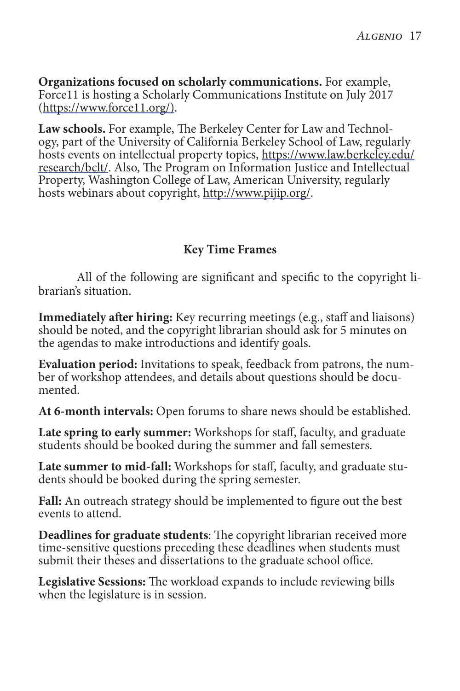**Organizations focused on scholarly communications.** For example, Force11 is hosting a Scholarly Communications Institute on July 2017 (https://www.force11.org/).

**Law schools.** For example, The Berkeley Center for Law and Technology, part of the University of California Berkeley School of Law, regularly hosts events on intellectual property topics[, https://www.law.berkeley.edu/](https://www.law.berkeley.edu/research/bclt/) [research/bclt/.](https://www.law.berkeley.edu/research/bclt/) Also, The Program on Information Justice and Intellectual Property, Washington College of Law, American University, regularly hosts webinars about copyright, http://www.pijip.org/.

## **Key Time Frames**

All of the following are significant and specific to the copyright librarian's situation.

**Immediately after hiring:** Key recurring meetings (e.g., staff and liaisons) should be noted, and the copyright librarian should ask for 5 minutes on the agendas to make introductions and identify goals.

**Evaluation period:** Invitations to speak, feedback from patrons, the number of workshop attendees, and details about questions should be documented.

**At 6-month intervals:** Open forums to share news should be established.

**Late spring to early summer:** Workshops for staff, faculty, and graduate students should be booked during the summer and fall semesters.

**Late summer to mid-fall:** Workshops for staff, faculty, and graduate students should be booked during the spring semester.

**Fall:** An outreach strategy should be implemented to figure out the best events to attend.

**Deadlines for graduate students**: The copyright librarian received more time-sensitive questions preceding these deadlines when students must submit their theses and dissertations to the graduate school office.

**Legislative Sessions:** The workload expands to include reviewing bills when the legislature is in session.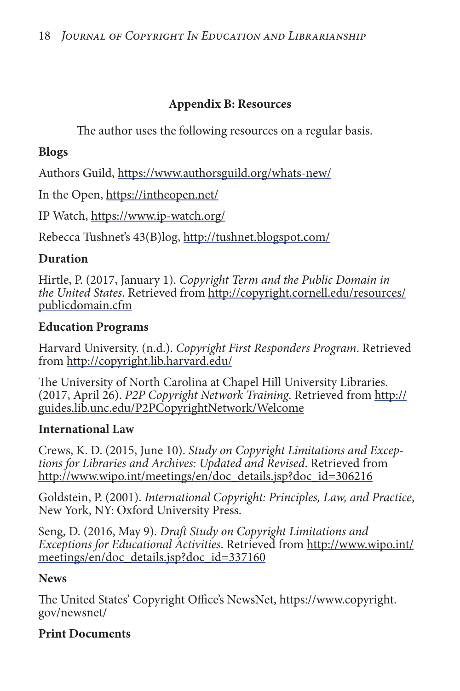## **Appendix B: Resources**

The author uses the following resources on a regular basis.

## **Blogs**

Authors Guild, https://www.authorsguild.org/whats-new/

In the Open, https://intheopen.net/

IP Watch, https://www.ip-watch.org/

Rebecca Tushnet's 43(B)log, http://tushnet.blogspot.com/

## **Duration**

Hirtle, P. (2017, January 1). *Copyright Term and the Public Domain in the United States*. Retrieved from [http://copyright.cornell.edu/resources/](http://copyright.cornell.edu/resources/publicdomain.cfm) [publicdomain.cfm](http://copyright.cornell.edu/resources/publicdomain.cfm)

## **Education Programs**

Harvard University. (n.d.). *Copyright First Responders Program*. Retrieved from http://copyright.lib.harvard.edu/

The University of North Carolina at Chapel Hill University Libraries. (2017, April 26). *P2P Copyright Network Training*. Retrieved from http:// guides.lib.unc.edu/P2PCopyrightNetwork/Welcome

## **International Law**

Crews, K. D. (2015, June 10). *Study on Copyright Limitations and Exceptions for Libraries and Archives: Updated and Revised*. Retrieved from http://www.wipo.int/meetings/en/doc\_details.jsp?doc\_id=306216

Goldstein, P. (2001). *International Copyright: Principles, Law, and Practice*, New York, NY: Oxford University Press.

Seng, D. (2016, May 9). *Draft Study on Copyright Limitations and Exceptions for Educational Activities*. Retrieved from [http://www.wipo.int/](http://www.wipo.int/meetings/en/doc_details.jsp?doc_id=337160) [meetings/en/doc\\_details.jsp?doc\\_id=337160](http://www.wipo.int/meetings/en/doc_details.jsp?doc_id=337160)

## **News**

The United States' Copyright Office's NewsNet, [https://www.copyright.](https://www.copyright. gov/newsnet/) [gov/newsnet/](https://www.copyright. gov/newsnet/)

## **Print Documents**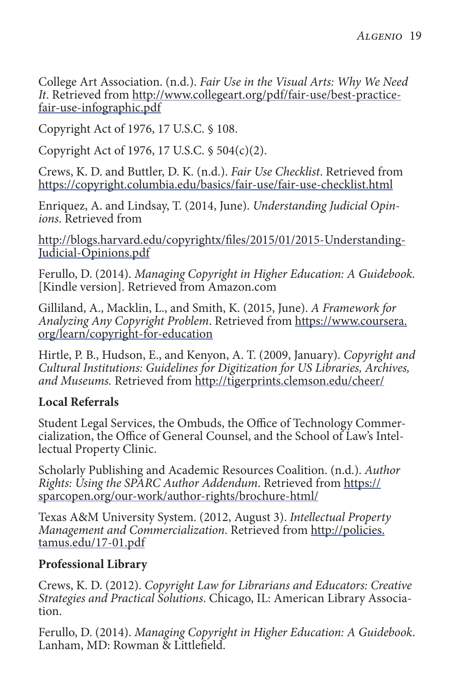College Art Association. (n.d.). *Fair Use in the Visual Arts: Why We Need It*. Retrieved from http://www.collegeart.org/pdf/fair-use/best-practicefair-use-infographic.pdf

Copyright Act of 1976, 17 U.S.C. § 108.

Copyright Act of 1976, 17 U.S.C. § 504(c)(2).

Crews, K. D. and Buttler, D. K. (n.d.). *Fair Use Checklist*. Retrieved from https://copyright.columbia.edu/basics/fair-use/fair-use-checklist.html

Enriquez, A. and Lindsay, T. (2014, June). *Understanding Judicial Opinions*. Retrieved from

http://blogs.harvard.edu/copyrightx/files/2015/01/2015-Understanding-Judicial-Opinions.pdf

Ferullo, D. (2014). *Managing Copyright in Higher Education: A Guidebook.*  [Kindle version]. Retrieved from Amazon.com

Gilliland, A., Macklin, L., and Smith, K. (2015, June). *A Framework for Analyzing Any Copyright Problem*. Retrieved from [https://www.coursera.](https://www.coursera. org/learn/copyright-for-education) [org/learn/copyright-for-education](https://www.coursera. org/learn/copyright-for-education)

Hirtle, P. B., Hudson, E., and Kenyon, A. T. (2009, January). *Copyright and Cultural Institutions: Guidelines for Digitization for US Libraries, Archives, and Museums.* Retrieved from http://tigerprints.clemson.edu/cheer/

### **Local Referrals**

Student Legal Services, the Ombuds, the Office of Technology Commercialization, the Office of General Counsel, and the School of Law's Intellectual Property Clinic.

Scholarly Publishing and Academic Resources Coalition. (n.d.). *Author Rights: Using the SPARC Author Addendum*. Retrieved from https:// sparcopen.org/our-work/author-rights/brochure-html/

Texas A&M University System. (2012, August 3). *Intellectual Property Management and Commercialization*. Retrieved from [http://policies.](http://policies. tamus.edu/17-01.pdf) [tamus.edu/17-01.pdf](http://policies. tamus.edu/17-01.pdf)

### **Professional Library**

Crews, K. D. (2012). *Copyright Law for Librarians and Educators: Creative Strategies and Practical Solutions*. Chicago, IL: American Library Association.

Ferullo, D. (2014). *Managing Copyright in Higher Education: A Guidebook*. Lanham, MD: Rowman & Littlefield.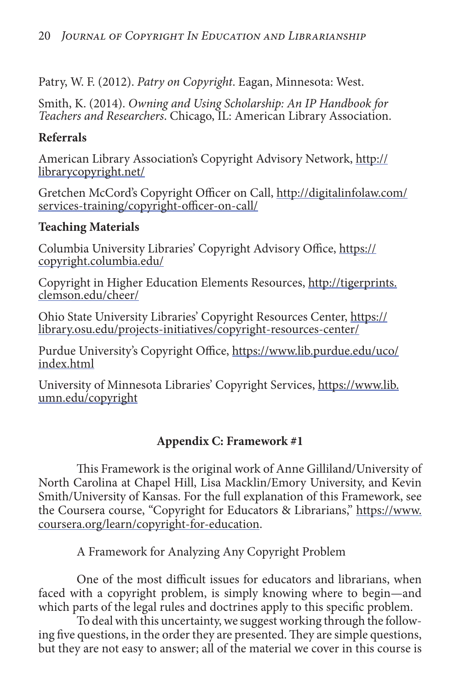Patry, W. F. (2012). *Patry on Copyright*. Eagan, Minnesota: West.

Smith, K. (2014). *Owning and Using Scholarship: An IP Handbook for Teachers and Researchers*. Chicago, IL: American Library Association.

## **Referrals**

American Library Association's Copyright Advisory Network, http:// librarycopyright.net/

Gretchen McCord's Copyright Officer on Call, [http://digitalinfolaw.com/](http://digitalinfolaw.com/services-training/copyright-officer-on-call/) [services-training/copyright-officer-on-call/](http://digitalinfolaw.com/services-training/copyright-officer-on-call/)

## **Teaching Materials**

Columbia University Libraries' Copyright Advisory Office, https:// copyright.columbia.edu/

Copyright in Higher Education Elements Resources, [http://tigerprints.](http://tigerprints. clemson.edu/cheer/) [clemson.edu/cheer/](http://tigerprints. clemson.edu/cheer/)

Ohio State University Libraries' Copyright Resources Center, https:// library.osu.edu/projects-initiatives/copyright-resources-center/

Purdue University's Copyright Office, [https://www.lib.purdue.edu/uco/](https://www.lib.purdue.edu/uco/index.html) [index.html](https://www.lib.purdue.edu/uco/index.html)

University of Minnesota Libraries' Copyright Services, [https://www.lib.](https://www.lib. umn.edu/copyright) [umn.edu/copyright](https://www.lib. umn.edu/copyright)

## **Appendix C: Framework #1**

This Framework is the original work of Anne Gilliland/University of North Carolina at Chapel Hill, Lisa Macklin/Emory University, and Kevin Smith/University of Kansas. For the full explanation of this Framework, see the Coursera course, "Copyright for Educators & Librarians," [https://www.](https://www. coursera.org/learn/copyright-for-education) [coursera.org/learn/copyright-for-education.](https://www. coursera.org/learn/copyright-for-education)

A Framework for Analyzing Any Copyright Problem

One of the most difficult issues for educators and librarians, when faced with a copyright problem, is simply knowing where to begin—and which parts of the legal rules and doctrines apply to this specific problem.

To deal with this uncertainty, we suggest working through the following five questions, in the order they are presented. They are simple questions, but they are not easy to answer; all of the material we cover in this course is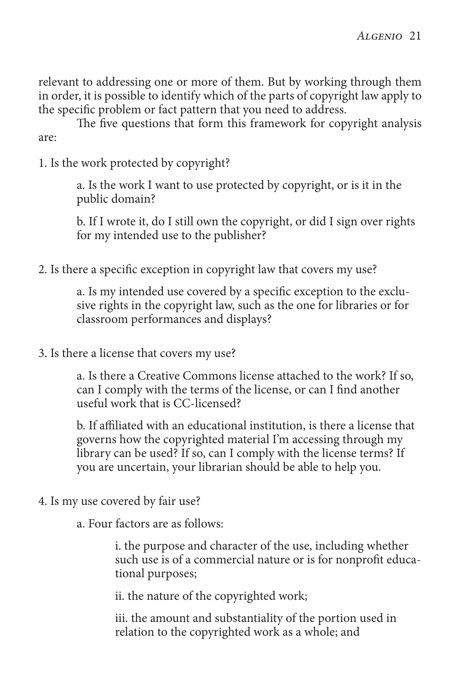relevant to addressing one or more of them. But by working through them in order, it is possible to identify which of the parts of copyright law apply to the specific problem or fact pattern that you need to address.

The five questions that form this framework for copyright analysis are:

1. Is the work protected by copyright?

a. Is the work I want to use protected by copyright, or is it in the public domain?

b. If I wrote it, do I still own the copyright, or did I sign over rights for my intended use to the publisher?

2. Is there a specific exception in copyright law that covers my use?

a. Is my intended use covered by a specific exception to the exclusive rights in the copyright law, such as the one for libraries or for classroom performances and displays?

3. Is there a license that covers my use?

a. Is there a Creative Commons license attached to the work? If so, can I comply with the terms of the license, or can I find another useful work that is CC-licensed?

b. If affiliated with an educational institution, is there a license that governs how the copyrighted material I'm accessing through my library can be used? If so, can I comply with the license terms? If you are uncertain, your librarian should be able to help you.

4. Is my use covered by fair use?

a. Four factors are as follows:

i. the purpose and character of the use, including whether such use is of a commercial nature or is for nonprofit educational purposes;

ii. the nature of the copyrighted work;

iii. the amount and substantiality of the portion used in relation to the copyrighted work as a whole; and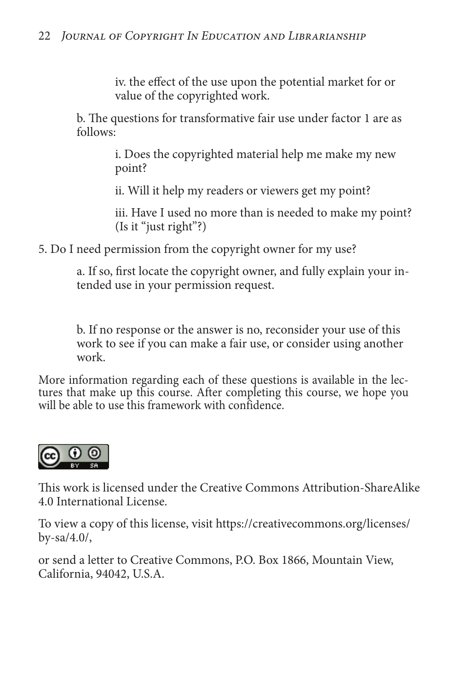iv. the effect of the use upon the potential market for or value of the copyrighted work.

b. The questions for transformative fair use under factor 1 are as follows:

> i. Does the copyrighted material help me make my new point?

ii. Will it help my readers or viewers get my point?

iii. Have I used no more than is needed to make my point? (Is it "just right"?)

5. Do I need permission from the copyright owner for my use?

a. If so, first locate the copyright owner, and fully explain your intended use in your permission request.

b. If no response or the answer is no, reconsider your use of this work to see if you can make a fair use, or consider using another work.

More information regarding each of these questions is available in the lectures that make up this course. After completing this course, we hope you will be able to use this framework with confidence.



This work is licensed under the Creative Commons Attribution-ShareAlike 4.0 International License.

To view a copy of this license, visit [https://creativecommons.org/licenses/](https://creativecommons.org/licenses/by-sa/4.0/) [by-sa/4.0/](https://creativecommons.org/licenses/by-sa/4.0/),

or send a letter to Creative Commons, P.O. Box 1866, Mountain View, California, 94042, U.S.A.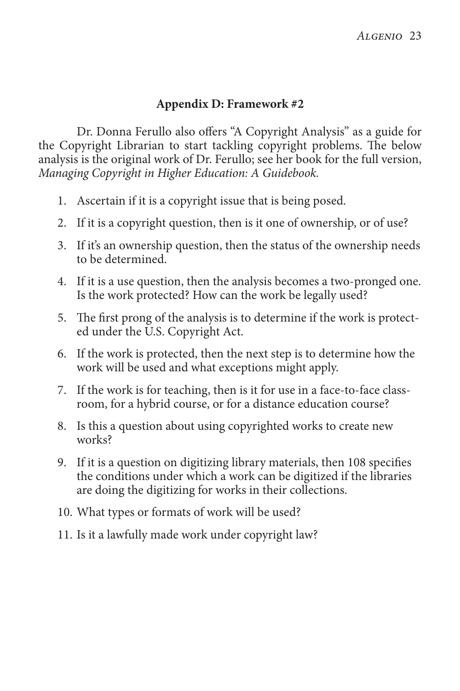#### **Appendix D: Framework #2**

Dr. Donna Ferullo also offers "A Copyright Analysis" as a guide for the Copyright Librarian to start tackling copyright problems. The below analysis is the original work of Dr. Ferullo; see her book for the full version, *Managing Copyright in Higher Education: A Guidebook.*

- 1. Ascertain if it is a copyright issue that is being posed.
- 2. If it is a copyright question, then is it one of ownership, or of use?
- 3. If it's an ownership question, then the status of the ownership needs to be determined.
- 4. If it is a use question, then the analysis becomes a two-pronged one. Is the work protected? How can the work be legally used?
- 5. The first prong of the analysis is to determine if the work is protected under the U.S. Copyright Act.
- 6. If the work is protected, then the next step is to determine how the work will be used and what exceptions might apply.
- 7. If the work is for teaching, then is it for use in a face-to-face classroom, for a hybrid course, or for a distance education course?
- 8. Is this a question about using copyrighted works to create new works?
- 9. If it is a question on digitizing library materials, then 108 specifies the conditions under which a work can be digitized if the libraries are doing the digitizing for works in their collections.
- 10. What types or formats of work will be used?
- 11. Is it a lawfully made work under copyright law?